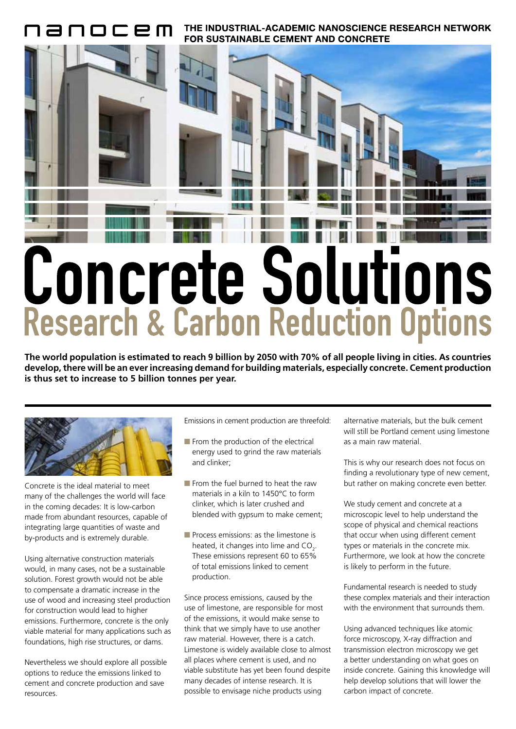THE INDUSTRIAL-ACADEMIC NANOSCIENCE RESEARCH NETWORK FOR SUSTAINABLE CEMENT AND CONCRETE



**The world population is estimated to reach 9 billion by 2050 with 70% of all people living in cities. As countries develop, there will be an ever increasing demand for building materials, especially concrete. Cement production is thus set to increase to 5 billion tonnes per year.**



Concrete is the ideal material to meet many of the challenges the world will face in the coming decades: It is low-carbon made from abundant resources, capable of integrating large quantities of waste and by-products and is extremely durable.

Using alternative construction materials would, in many cases, not be a sustainable solution. Forest growth would not be able to compensate a dramatic increase in the use of wood and increasing steel production for construction would lead to higher emissions. Furthermore, concrete is the only viable material for many applications such as foundations, high rise structures, or dams.

Nevertheless we should explore all possible options to reduce the emissions linked to cement and concrete production and save resources.

Emissions in cement production are threefold:

- $\blacksquare$  From the production of the electrical energy used to grind the raw materials and clinker;
- From the fuel burned to heat the raw materials in a kiln to 1450°C to form clinker, which is later crushed and blended with gypsum to make cement;
- Process emissions: as the limestone is heated, it changes into lime and  $CO<sub>2</sub>$ . These emissions represent 60 to 65% of total emissions linked to cement production.

Since process emissions, caused by the use of limestone, are responsible for most of the emissions, it would make sense to think that we simply have to use another raw material. However, there is a catch. Limestone is widely available close to almost all places where cement is used, and no viable substitute has yet been found despite many decades of intense research. It is possible to envisage niche products using

alternative materials, but the bulk cement will still be Portland cement using limestone as a main raw material.

This is why our research does not focus on finding a revolutionary type of new cement, but rather on making concrete even better.

We study cement and concrete at a microscopic level to help understand the scope of physical and chemical reactions that occur when using different cement types or materials in the concrete mix. Furthermore, we look at how the concrete is likely to perform in the future.

Fundamental research is needed to study these complex materials and their interaction with the environment that surrounds them.

Using advanced techniques like atomic force microscopy, X-ray diffraction and transmission electron microscopy we get a better understanding on what goes on inside concrete. Gaining this knowledge will help develop solutions that will lower the carbon impact of concrete.